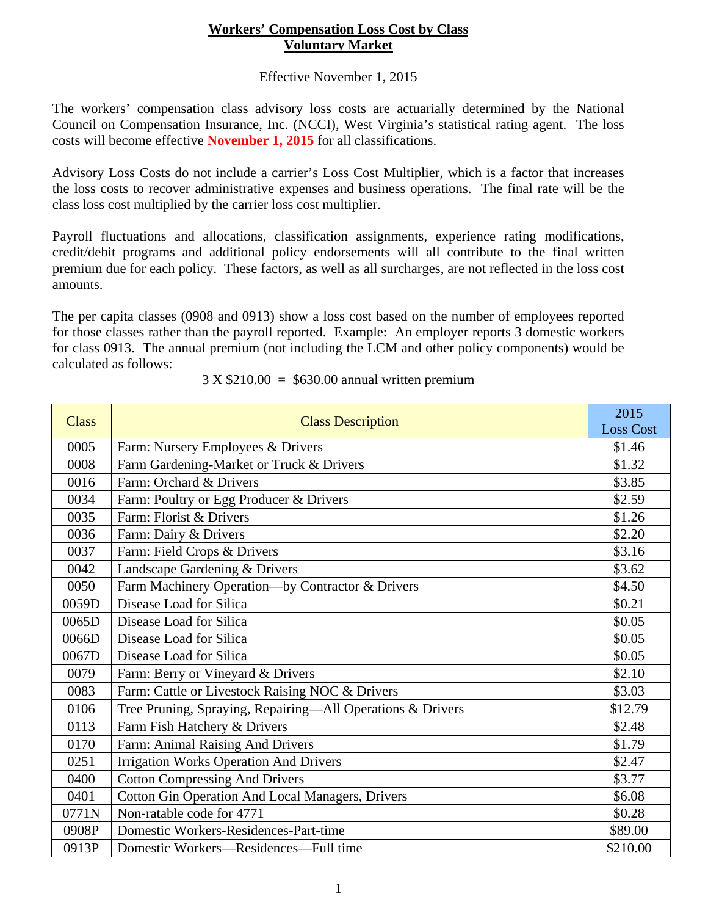## **Workers' Compensation Loss Cost by Class Voluntary Market**

## Effective November 1, 2015

The workers' compensation class advisory loss costs are actuarially determined by the National Council on Compensation Insurance, Inc. (NCCI), West Virginia's statistical rating agent. The loss costs will become effective **November 1, 2015** for all classifications.

Advisory Loss Costs do not include a carrier's Loss Cost Multiplier, which is a factor that increases the loss costs to recover administrative expenses and business operations. The final rate will be the class loss cost multiplied by the carrier loss cost multiplier.

Payroll fluctuations and allocations, classification assignments, experience rating modifications, credit/debit programs and additional policy endorsements will all contribute to the final written premium due for each policy. These factors, as well as all surcharges, are not reflected in the loss cost amounts.

The per capita classes (0908 and 0913) show a loss cost based on the number of employees reported for those classes rather than the payroll reported. Example: An employer reports 3 domestic workers for class 0913. The annual premium (not including the LCM and other policy components) would be calculated as follows:

| <b>Class</b> | <b>Class Description</b>                                   | 2015<br><b>Loss Cost</b> |
|--------------|------------------------------------------------------------|--------------------------|
| 0005         | Farm: Nursery Employees & Drivers                          | \$1.46                   |
| 0008         | Farm Gardening-Market or Truck & Drivers                   | \$1.32                   |
| 0016         | Farm: Orchard & Drivers                                    | \$3.85                   |
| 0034         | Farm: Poultry or Egg Producer & Drivers                    | \$2.59                   |
| 0035         | Farm: Florist & Drivers                                    | \$1.26                   |
| 0036         | Farm: Dairy & Drivers                                      | \$2.20                   |
| 0037         | Farm: Field Crops & Drivers                                | \$3.16                   |
| 0042         | Landscape Gardening & Drivers                              | \$3.62                   |
| 0050         | Farm Machinery Operation-by Contractor & Drivers           | \$4.50                   |
| 0059D        | Disease Load for Silica                                    | \$0.21                   |
| 0065D        | Disease Load for Silica                                    | \$0.05                   |
| 0066D        | Disease Load for Silica                                    | \$0.05                   |
| 0067D        | Disease Load for Silica                                    | \$0.05                   |
| 0079         | Farm: Berry or Vineyard & Drivers                          | \$2.10                   |
| 0083         | Farm: Cattle or Livestock Raising NOC & Drivers            | \$3.03                   |
| 0106         | Tree Pruning, Spraying, Repairing-All Operations & Drivers | \$12.79                  |
| 0113         | Farm Fish Hatchery & Drivers                               | \$2.48                   |
| 0170         | Farm: Animal Raising And Drivers                           | \$1.79                   |
| 0251         | <b>Irrigation Works Operation And Drivers</b>              | \$2.47                   |
| 0400         | <b>Cotton Compressing And Drivers</b>                      | \$3.77                   |
| 0401         | <b>Cotton Gin Operation And Local Managers, Drivers</b>    | \$6.08                   |
| 0771N        | Non-ratable code for 4771                                  | \$0.28                   |
| 0908P        | Domestic Workers-Residences-Part-time                      | \$89.00                  |
| 0913P        | Domestic Workers-Residences-Full time                      | \$210.00                 |

 $3 X $210.00 = $630.00$  annual written premium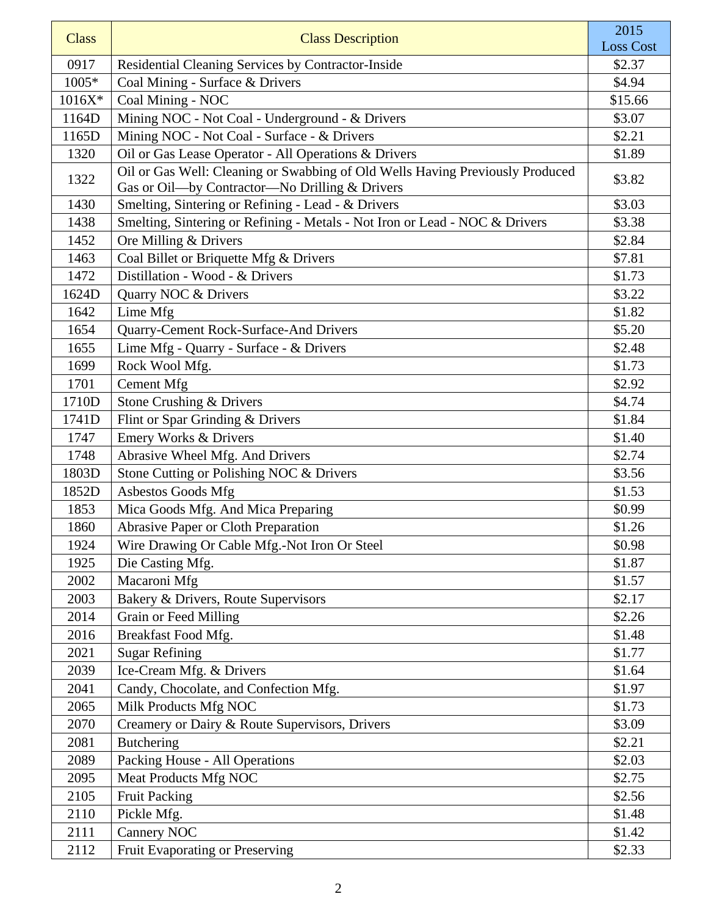| <b>Class</b> | <b>Class Description</b>                                                                                                        | 2015<br><b>Loss Cost</b> |
|--------------|---------------------------------------------------------------------------------------------------------------------------------|--------------------------|
| 0917         | Residential Cleaning Services by Contractor-Inside                                                                              | \$2.37                   |
| 1005*        | Coal Mining - Surface & Drivers                                                                                                 | \$4.94                   |
| $1016X*$     | Coal Mining - NOC                                                                                                               | \$15.66                  |
| 1164D        | Mining NOC - Not Coal - Underground - & Drivers                                                                                 | \$3.07                   |
| 1165D        | Mining NOC - Not Coal - Surface - & Drivers                                                                                     | \$2.21                   |
| 1320         | Oil or Gas Lease Operator - All Operations & Drivers                                                                            | \$1.89                   |
| 1322         | Oil or Gas Well: Cleaning or Swabbing of Old Wells Having Previously Produced<br>Gas or Oil-by Contractor-No Drilling & Drivers | \$3.82                   |
| 1430         | Smelting, Sintering or Refining - Lead - & Drivers                                                                              | \$3.03                   |
| 1438         | Smelting, Sintering or Refining - Metals - Not Iron or Lead - NOC & Drivers                                                     | \$3.38                   |
| 1452         | Ore Milling & Drivers                                                                                                           | \$2.84                   |
| 1463         | Coal Billet or Briquette Mfg & Drivers                                                                                          | \$7.81                   |
| 1472         | Distillation - Wood - & Drivers                                                                                                 | \$1.73                   |
| 1624D        | Quarry NOC & Drivers                                                                                                            | \$3.22                   |
| 1642         | Lime Mfg                                                                                                                        | \$1.82                   |
| 1654         | Quarry-Cement Rock-Surface-And Drivers                                                                                          | \$5.20                   |
| 1655         | Lime Mfg - Quarry - Surface - & Drivers                                                                                         | \$2.48                   |
| 1699         | Rock Wool Mfg.                                                                                                                  | \$1.73                   |
| 1701         | <b>Cement Mfg</b>                                                                                                               | \$2.92                   |
| 1710D        | Stone Crushing & Drivers                                                                                                        | \$4.74                   |
| 1741D        | Flint or Spar Grinding & Drivers                                                                                                | \$1.84                   |
| 1747         | Emery Works & Drivers                                                                                                           | \$1.40                   |
| 1748         | Abrasive Wheel Mfg. And Drivers                                                                                                 | \$2.74                   |
| 1803D        | Stone Cutting or Polishing NOC & Drivers                                                                                        | \$3.56                   |
| 1852D        | Asbestos Goods Mfg                                                                                                              | \$1.53                   |
| 1853         | Mica Goods Mfg. And Mica Preparing                                                                                              | \$0.99                   |
| 1860         | Abrasive Paper or Cloth Preparation                                                                                             | \$1.26                   |
| 1924         | Wire Drawing Or Cable Mfg.-Not Iron Or Steel                                                                                    | \$0.98                   |
| 1925         | Die Casting Mfg.                                                                                                                | \$1.87                   |
| 2002         | Macaroni Mfg                                                                                                                    | \$1.57                   |
| 2003         | Bakery & Drivers, Route Supervisors                                                                                             | \$2.17                   |
| 2014         | Grain or Feed Milling                                                                                                           | \$2.26                   |
| 2016         | Breakfast Food Mfg.                                                                                                             | \$1.48                   |
| 2021         | <b>Sugar Refining</b>                                                                                                           | \$1.77                   |
| 2039         | Ice-Cream Mfg. & Drivers                                                                                                        | \$1.64                   |
| 2041         | Candy, Chocolate, and Confection Mfg.                                                                                           | \$1.97                   |
| 2065         | Milk Products Mfg NOC                                                                                                           | \$1.73                   |
| 2070         | Creamery or Dairy & Route Supervisors, Drivers                                                                                  | \$3.09                   |
| 2081         | <b>Butchering</b>                                                                                                               | \$2.21                   |
| 2089         | Packing House - All Operations                                                                                                  | \$2.03                   |
| 2095         | Meat Products Mfg NOC                                                                                                           | \$2.75                   |
| 2105         | <b>Fruit Packing</b>                                                                                                            | \$2.56                   |
| 2110         | Pickle Mfg.                                                                                                                     | \$1.48                   |
| 2111         | Cannery NOC                                                                                                                     | \$1.42                   |
| 2112         | Fruit Evaporating or Preserving                                                                                                 | \$2.33                   |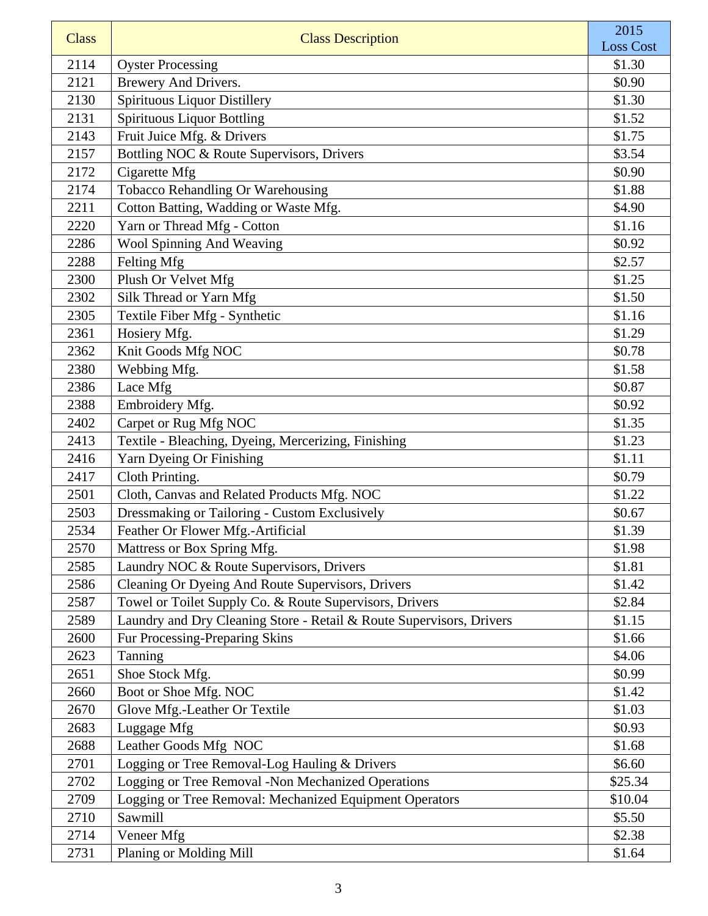| <b>Class</b> | <b>Class Description</b>                                                                                      | 2015<br><b>Loss Cost</b> |
|--------------|---------------------------------------------------------------------------------------------------------------|--------------------------|
| 2114         | <b>Oyster Processing</b>                                                                                      | \$1.30                   |
| 2121         | Brewery And Drivers.                                                                                          | \$0.90                   |
| 2130         | <b>Spirituous Liquor Distillery</b>                                                                           | \$1.30                   |
| 2131         | <b>Spirituous Liquor Bottling</b>                                                                             | \$1.52                   |
| 2143         | Fruit Juice Mfg. & Drivers                                                                                    | \$1.75                   |
| 2157         | Bottling NOC & Route Supervisors, Drivers                                                                     | \$3.54                   |
| 2172         | Cigarette Mfg                                                                                                 | \$0.90                   |
| 2174         | Tobacco Rehandling Or Warehousing                                                                             | \$1.88                   |
| 2211         | Cotton Batting, Wadding or Waste Mfg.                                                                         | \$4.90                   |
| 2220         | Yarn or Thread Mfg - Cotton                                                                                   | \$1.16                   |
| 2286         | Wool Spinning And Weaving                                                                                     | \$0.92                   |
| 2288         | Felting Mfg                                                                                                   | \$2.57                   |
| 2300         | Plush Or Velvet Mfg                                                                                           | \$1.25                   |
| 2302         | Silk Thread or Yarn Mfg                                                                                       | \$1.50                   |
| 2305         | Textile Fiber Mfg - Synthetic                                                                                 | \$1.16                   |
| 2361         | Hosiery Mfg.                                                                                                  | \$1.29                   |
| 2362         | Knit Goods Mfg NOC                                                                                            | \$0.78                   |
| 2380         | Webbing Mfg.                                                                                                  | \$1.58                   |
| 2386         | Lace Mfg                                                                                                      | \$0.87                   |
| 2388         | Embroidery Mfg.                                                                                               | \$0.92                   |
| 2402         | Carpet or Rug Mfg NOC                                                                                         | \$1.35                   |
| 2413         | Textile - Bleaching, Dyeing, Mercerizing, Finishing                                                           | \$1.23                   |
| 2416         | Yarn Dyeing Or Finishing                                                                                      | \$1.11                   |
| 2417         | Cloth Printing.                                                                                               | \$0.79                   |
| 2501         | Cloth, Canvas and Related Products Mfg. NOC                                                                   | \$1.22                   |
| 2503         | Dressmaking or Tailoring - Custom Exclusively                                                                 | \$0.67                   |
| 2534         | Feather Or Flower Mfg.-Artificial                                                                             | \$1.39                   |
| 2570         | Mattress or Box Spring Mfg.                                                                                   | \$1.98                   |
| 2585         | Laundry NOC & Route Supervisors, Drivers                                                                      | \$1.81                   |
| 2586         | Cleaning Or Dyeing And Route Supervisors, Drivers                                                             | \$1.42                   |
| 2587         | Towel or Toilet Supply Co. & Route Supervisors, Drivers                                                       | \$2.84                   |
| 2589         | Laundry and Dry Cleaning Store - Retail & Route Supervisors, Drivers                                          | \$1.15                   |
| 2600         | Fur Processing-Preparing Skins                                                                                | \$1.66                   |
| 2623         | Tanning                                                                                                       | \$4.06                   |
| 2651         | Shoe Stock Mfg.                                                                                               | \$0.99                   |
| 2660         | Boot or Shoe Mfg. NOC                                                                                         | \$1.42                   |
| 2670         | Glove Mfg.-Leather Or Textile                                                                                 | \$1.03                   |
| 2683<br>2688 | Luggage Mfg                                                                                                   | \$0.93                   |
| 2701         | Leather Goods Mfg NOC<br>Logging or Tree Removal-Log Hauling & Drivers                                        | \$1.68<br>\$6.60         |
| 2702         |                                                                                                               | \$25.34                  |
| 2709         | Logging or Tree Removal -Non Mechanized Operations<br>Logging or Tree Removal: Mechanized Equipment Operators | \$10.04                  |
| 2710         | Sawmill                                                                                                       | \$5.50                   |
| 2714         | Veneer Mfg                                                                                                    | \$2.38                   |
| 2731         | Planing or Molding Mill                                                                                       | \$1.64                   |
|              |                                                                                                               |                          |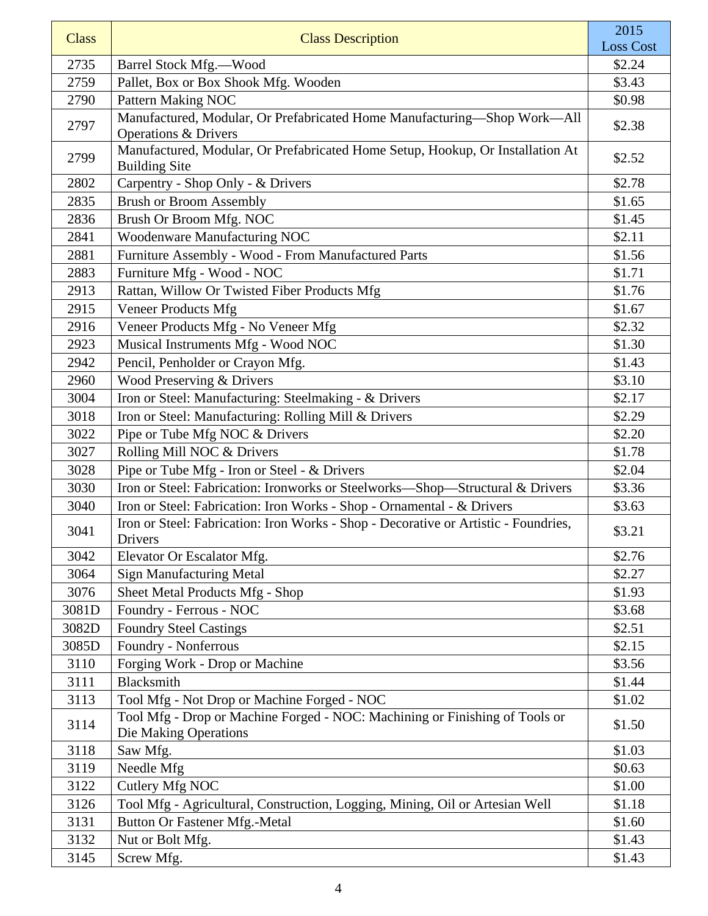| <b>Class</b> | <b>Class Description</b>                                                                                    | 2015<br><b>Loss Cost</b> |
|--------------|-------------------------------------------------------------------------------------------------------------|--------------------------|
| 2735         | Barrel Stock Mfg.-Wood                                                                                      | \$2.24                   |
| 2759         | Pallet, Box or Box Shook Mfg. Wooden                                                                        | \$3.43                   |
| 2790         | Pattern Making NOC                                                                                          | \$0.98                   |
| 2797         | Manufactured, Modular, Or Prefabricated Home Manufacturing-Shop Work-All<br><b>Operations &amp; Drivers</b> | \$2.38                   |
| 2799         | Manufactured, Modular, Or Prefabricated Home Setup, Hookup, Or Installation At<br><b>Building Site</b>      | \$2.52                   |
| 2802         | Carpentry - Shop Only - & Drivers                                                                           | \$2.78                   |
| 2835         | <b>Brush or Broom Assembly</b>                                                                              | \$1.65                   |
| 2836         | Brush Or Broom Mfg. NOC                                                                                     | \$1.45                   |
| 2841         | Woodenware Manufacturing NOC                                                                                | \$2.11                   |
| 2881         | Furniture Assembly - Wood - From Manufactured Parts                                                         | \$1.56                   |
| 2883         | Furniture Mfg - Wood - NOC                                                                                  | \$1.71                   |
| 2913         | Rattan, Willow Or Twisted Fiber Products Mfg                                                                | \$1.76                   |
| 2915         | Veneer Products Mfg                                                                                         | \$1.67                   |
| 2916         | Veneer Products Mfg - No Veneer Mfg                                                                         | \$2.32                   |
| 2923         | Musical Instruments Mfg - Wood NOC                                                                          | \$1.30                   |
| 2942         | Pencil, Penholder or Crayon Mfg.                                                                            | \$1.43                   |
| 2960         | Wood Preserving & Drivers                                                                                   | \$3.10                   |
| 3004         | Iron or Steel: Manufacturing: Steelmaking - & Drivers                                                       | \$2.17                   |
| 3018         | Iron or Steel: Manufacturing: Rolling Mill & Drivers                                                        | \$2.29                   |
| 3022         | Pipe or Tube Mfg NOC & Drivers                                                                              | \$2.20                   |
| 3027         | Rolling Mill NOC & Drivers                                                                                  | \$1.78                   |
| 3028         | Pipe or Tube Mfg - Iron or Steel - & Drivers                                                                | \$2.04                   |
| 3030         | Iron or Steel: Fabrication: Ironworks or Steelworks-Shop-Structural & Drivers                               | \$3.36                   |
| 3040         | Iron or Steel: Fabrication: Iron Works - Shop - Ornamental - & Drivers                                      | \$3.63                   |
| 3041         | Iron or Steel: Fabrication: Iron Works - Shop - Decorative or Artistic - Foundries,<br>Drivers              | \$3.21                   |
| 3042         | Elevator Or Escalator Mfg.                                                                                  | \$2.76                   |
| 3064         | <b>Sign Manufacturing Metal</b>                                                                             | \$2.27                   |
| 3076         | Sheet Metal Products Mfg - Shop                                                                             | \$1.93                   |
| 3081D        | Foundry - Ferrous - NOC                                                                                     | \$3.68                   |
| 3082D        | <b>Foundry Steel Castings</b>                                                                               | \$2.51                   |
| 3085D        | Foundry - Nonferrous                                                                                        | \$2.15                   |
| 3110         | Forging Work - Drop or Machine                                                                              | \$3.56                   |
| 3111         | Blacksmith                                                                                                  | \$1.44                   |
| 3113         | Tool Mfg - Not Drop or Machine Forged - NOC                                                                 | \$1.02                   |
| 3114         | Tool Mfg - Drop or Machine Forged - NOC: Machining or Finishing of Tools or<br>Die Making Operations        | \$1.50                   |
| 3118         | Saw Mfg.                                                                                                    | \$1.03                   |
| 3119         | Needle Mfg                                                                                                  | \$0.63                   |
| 3122         | Cutlery Mfg NOC                                                                                             | \$1.00                   |
| 3126         | Tool Mfg - Agricultural, Construction, Logging, Mining, Oil or Artesian Well                                | \$1.18                   |
| 3131         | <b>Button Or Fastener Mfg.-Metal</b>                                                                        | \$1.60                   |
| 3132         | Nut or Bolt Mfg.                                                                                            | \$1.43                   |
| 3145         | Screw Mfg.                                                                                                  | \$1.43                   |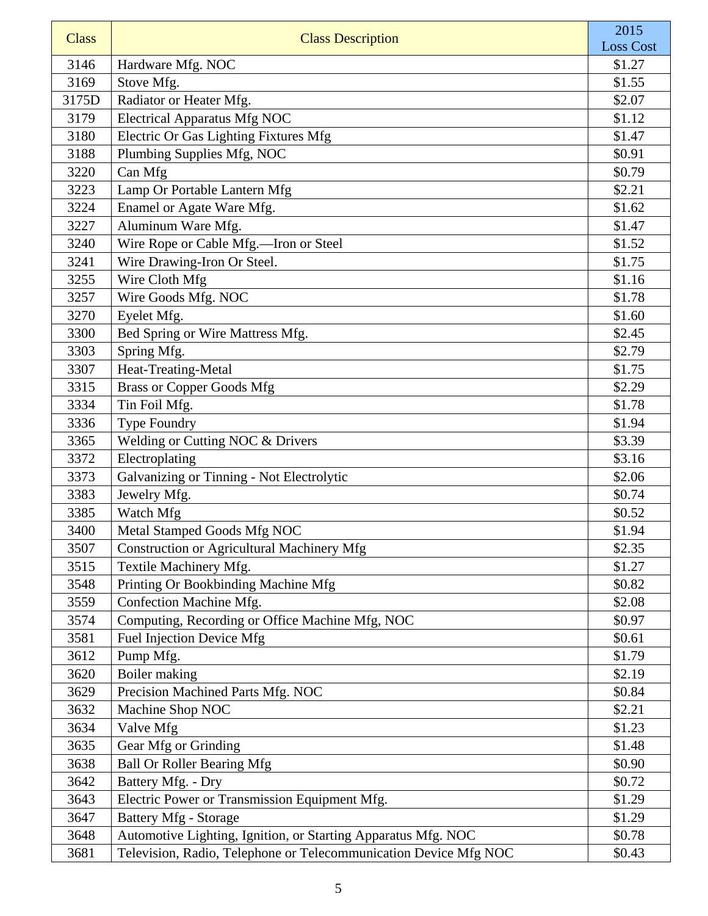| <b>Class</b> | <b>Class Description</b>                                         | 2015<br><b>Loss Cost</b> |
|--------------|------------------------------------------------------------------|--------------------------|
| 3146         | Hardware Mfg. NOC                                                | \$1.27                   |
| 3169         | Stove Mfg.                                                       | \$1.55                   |
| 3175D        | Radiator or Heater Mfg.                                          | \$2.07                   |
| 3179         | <b>Electrical Apparatus Mfg NOC</b>                              | \$1.12                   |
| 3180         | Electric Or Gas Lighting Fixtures Mfg                            | \$1.47                   |
| 3188         | Plumbing Supplies Mfg, NOC                                       | \$0.91                   |
| 3220         | Can Mfg                                                          | \$0.79                   |
| 3223         | Lamp Or Portable Lantern Mfg                                     | \$2.21                   |
| 3224         | Enamel or Agate Ware Mfg.                                        | \$1.62                   |
| 3227         | Aluminum Ware Mfg.                                               | \$1.47                   |
| 3240         | Wire Rope or Cable Mfg.-Iron or Steel                            | \$1.52                   |
| 3241         | Wire Drawing-Iron Or Steel.                                      | \$1.75                   |
| 3255         | Wire Cloth Mfg                                                   | \$1.16                   |
| 3257         | Wire Goods Mfg. NOC                                              | \$1.78                   |
| 3270         | Eyelet Mfg.                                                      | \$1.60                   |
| 3300         | Bed Spring or Wire Mattress Mfg.                                 | \$2.45                   |
| 3303         | Spring Mfg.                                                      | \$2.79                   |
| 3307         | Heat-Treating-Metal                                              | \$1.75                   |
| 3315         | <b>Brass or Copper Goods Mfg</b>                                 | \$2.29                   |
| 3334         | Tin Foil Mfg.                                                    | \$1.78                   |
| 3336         | Type Foundry                                                     | \$1.94                   |
| 3365         | Welding or Cutting NOC & Drivers                                 | \$3.39                   |
| 3372         | Electroplating                                                   | \$3.16                   |
| 3373         | Galvanizing or Tinning - Not Electrolytic                        | \$2.06                   |
| 3383         | Jewelry Mfg.                                                     | \$0.74                   |
| 3385         | Watch Mfg                                                        | \$0.52                   |
| 3400         | Metal Stamped Goods Mfg NOC                                      | \$1.94                   |
| 3507         | <b>Construction or Agricultural Machinery Mfg</b>                | \$2.35                   |
| 3515         | Textile Machinery Mfg.                                           | \$1.27                   |
| 3548         | Printing Or Bookbinding Machine Mfg                              | \$0.82                   |
| 3559         | Confection Machine Mfg.                                          | \$2.08                   |
| 3574         | Computing, Recording or Office Machine Mfg, NOC                  | \$0.97                   |
| 3581         | Fuel Injection Device Mfg                                        | \$0.61                   |
| 3612         | Pump Mfg.                                                        | \$1.79                   |
| 3620         | Boiler making                                                    | \$2.19                   |
| 3629         | Precision Machined Parts Mfg. NOC                                | \$0.84                   |
| 3632         | Machine Shop NOC                                                 | \$2.21                   |
| 3634         | Valve Mfg                                                        | \$1.23                   |
| 3635         | Gear Mfg or Grinding                                             | \$1.48                   |
| 3638         | <b>Ball Or Roller Bearing Mfg</b>                                | \$0.90                   |
| 3642         | Battery Mfg. - Dry                                               | \$0.72                   |
| 3643         | Electric Power or Transmission Equipment Mfg.                    | \$1.29                   |
| 3647         | <b>Battery Mfg - Storage</b>                                     | \$1.29                   |
| 3648         | Automotive Lighting, Ignition, or Starting Apparatus Mfg. NOC    | \$0.78                   |
| 3681         | Television, Radio, Telephone or Telecommunication Device Mfg NOC | \$0.43                   |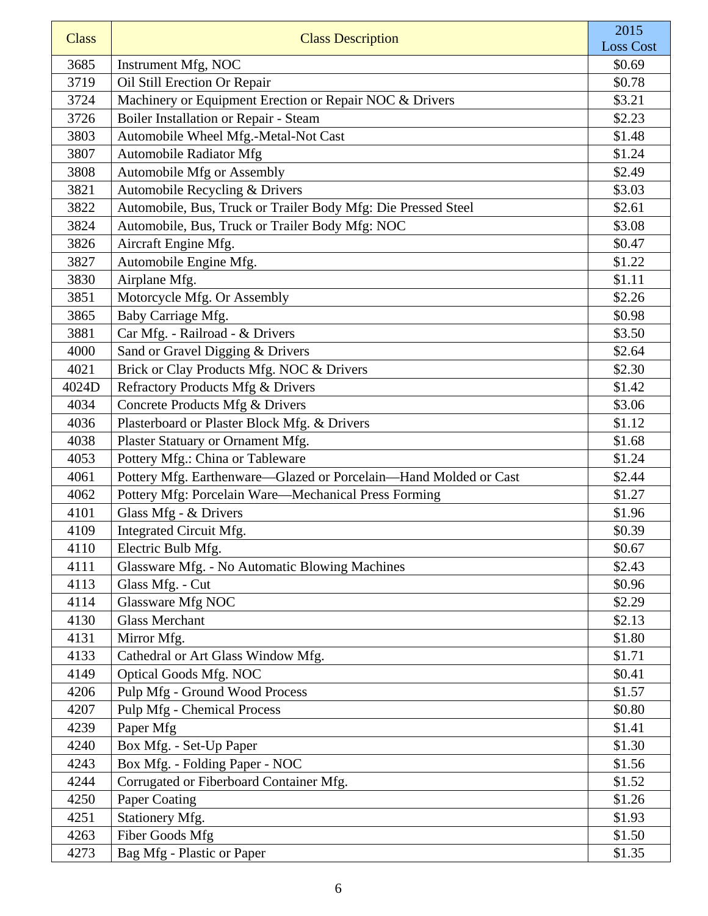| <b>Class</b> | <b>Class Description</b>                                         | 2015<br><b>Loss Cost</b> |
|--------------|------------------------------------------------------------------|--------------------------|
| 3685         | Instrument Mfg, NOC                                              | \$0.69                   |
| 3719         | Oil Still Erection Or Repair                                     | \$0.78                   |
| 3724         | Machinery or Equipment Erection or Repair NOC & Drivers          | \$3.21                   |
| 3726         | Boiler Installation or Repair - Steam                            | \$2.23                   |
| 3803         | Automobile Wheel Mfg.-Metal-Not Cast                             | \$1.48                   |
| 3807         | Automobile Radiator Mfg                                          | \$1.24                   |
| 3808         | Automobile Mfg or Assembly                                       | \$2.49                   |
| 3821         | Automobile Recycling & Drivers                                   | \$3.03                   |
| 3822         | Automobile, Bus, Truck or Trailer Body Mfg: Die Pressed Steel    | \$2.61                   |
| 3824         | Automobile, Bus, Truck or Trailer Body Mfg: NOC                  | \$3.08                   |
| 3826         | Aircraft Engine Mfg.                                             | \$0.47                   |
| 3827         | Automobile Engine Mfg.                                           | \$1.22                   |
| 3830         | Airplane Mfg.                                                    | \$1.11                   |
| 3851         | Motorcycle Mfg. Or Assembly                                      | \$2.26                   |
| 3865         | Baby Carriage Mfg.                                               | \$0.98                   |
| 3881         | Car Mfg. - Railroad - & Drivers                                  | \$3.50                   |
| 4000         | Sand or Gravel Digging & Drivers                                 | \$2.64                   |
| 4021         | Brick or Clay Products Mfg. NOC & Drivers                        | \$2.30                   |
| 4024D        | Refractory Products Mfg & Drivers                                | \$1.42                   |
| 4034         | Concrete Products Mfg & Drivers                                  | \$3.06                   |
| 4036         | Plasterboard or Plaster Block Mfg. & Drivers                     | \$1.12                   |
| 4038         | Plaster Statuary or Ornament Mfg.                                | \$1.68                   |
| 4053         | Pottery Mfg.: China or Tableware                                 | \$1.24                   |
| 4061         | Pottery Mfg. Earthenware-Glazed or Porcelain-Hand Molded or Cast | \$2.44                   |
| 4062         | Pottery Mfg: Porcelain Ware-Mechanical Press Forming             | \$1.27                   |
| 4101         | Glass Mfg - & Drivers                                            | \$1.96                   |
| 4109         | Integrated Circuit Mfg.                                          | \$0.39                   |
| 4110         | Electric Bulb Mfg.                                               | \$0.67                   |
| 4111         | Glassware Mfg. - No Automatic Blowing Machines                   | \$2.43                   |
| 4113         | Glass Mfg. - Cut                                                 | \$0.96                   |
| 4114         | Glassware Mfg NOC                                                | \$2.29                   |
| 4130         | <b>Glass Merchant</b>                                            | \$2.13                   |
| 4131         | Mirror Mfg.                                                      | \$1.80                   |
| 4133         | Cathedral or Art Glass Window Mfg.                               | \$1.71                   |
| 4149         | <b>Optical Goods Mfg. NOC</b>                                    | \$0.41                   |
| 4206         | Pulp Mfg - Ground Wood Process                                   | \$1.57                   |
| 4207         | <b>Pulp Mfg - Chemical Process</b>                               | \$0.80                   |
| 4239         | Paper Mfg                                                        | \$1.41                   |
| 4240<br>4243 | Box Mfg. - Set-Up Paper                                          | \$1.30<br>\$1.56         |
| 4244         | Box Mfg. - Folding Paper - NOC                                   |                          |
| 4250         | Corrugated or Fiberboard Container Mfg.<br>Paper Coating         | \$1.52<br>\$1.26         |
| 4251         | Stationery Mfg.                                                  | \$1.93                   |
| 4263         | Fiber Goods Mfg                                                  | \$1.50                   |
| 4273         | Bag Mfg - Plastic or Paper                                       | \$1.35                   |
|              |                                                                  |                          |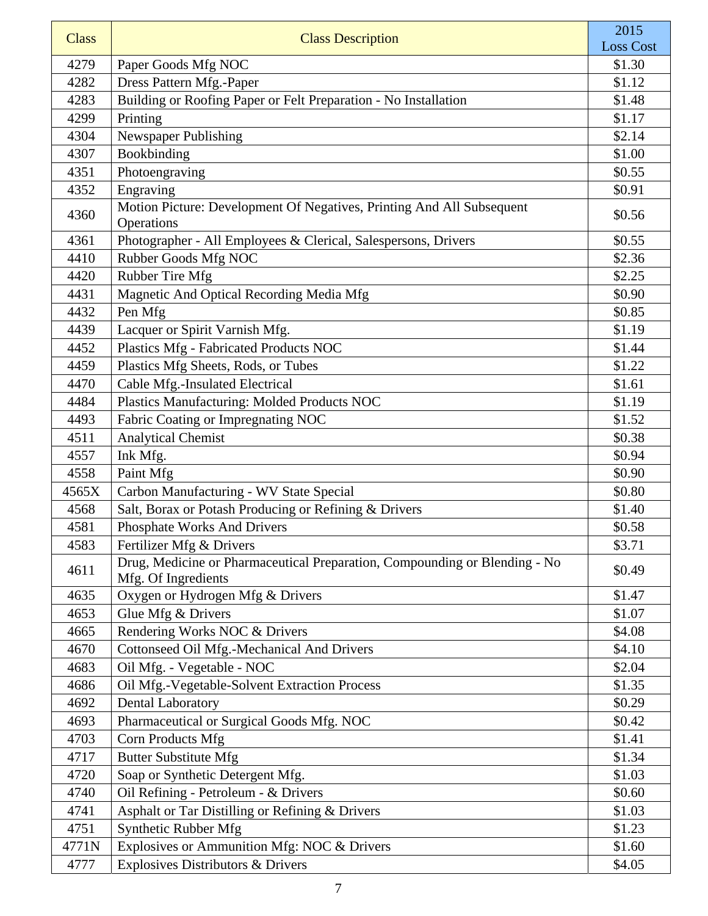| <b>Class</b> | <b>Class Description</b>                                                                          | 2015<br><b>Loss Cost</b> |
|--------------|---------------------------------------------------------------------------------------------------|--------------------------|
| 4279         | Paper Goods Mfg NOC                                                                               | \$1.30                   |
| 4282         | Dress Pattern Mfg.-Paper                                                                          | \$1.12                   |
| 4283         | Building or Roofing Paper or Felt Preparation - No Installation                                   | \$1.48                   |
| 4299         | Printing                                                                                          | \$1.17                   |
| 4304         | Newspaper Publishing                                                                              | \$2.14                   |
| 4307         | Bookbinding                                                                                       | \$1.00                   |
| 4351         | Photoengraving                                                                                    | \$0.55                   |
| 4352         | Engraving                                                                                         | \$0.91                   |
| 4360         | Motion Picture: Development Of Negatives, Printing And All Subsequent<br>Operations               | \$0.56                   |
| 4361         | Photographer - All Employees & Clerical, Salespersons, Drivers                                    | \$0.55                   |
| 4410         | Rubber Goods Mfg NOC                                                                              | \$2.36                   |
| 4420         | Rubber Tire Mfg                                                                                   | \$2.25                   |
| 4431         | Magnetic And Optical Recording Media Mfg                                                          | \$0.90                   |
| 4432         | Pen Mfg                                                                                           | \$0.85                   |
| 4439         | Lacquer or Spirit Varnish Mfg.                                                                    | \$1.19                   |
| 4452         | Plastics Mfg - Fabricated Products NOC                                                            | \$1.44                   |
| 4459         | Plastics Mfg Sheets, Rods, or Tubes                                                               | \$1.22                   |
| 4470         | Cable Mfg.-Insulated Electrical                                                                   | \$1.61                   |
| 4484         | Plastics Manufacturing: Molded Products NOC                                                       | \$1.19                   |
| 4493         | Fabric Coating or Impregnating NOC                                                                | \$1.52                   |
| 4511         | <b>Analytical Chemist</b>                                                                         | \$0.38                   |
| 4557         | Ink Mfg.                                                                                          | \$0.94                   |
| 4558         | Paint Mfg                                                                                         | \$0.90                   |
| 4565X        | Carbon Manufacturing - WV State Special                                                           | \$0.80                   |
| 4568         | Salt, Borax or Potash Producing or Refining & Drivers                                             | \$1.40                   |
| 4581         | <b>Phosphate Works And Drivers</b>                                                                | \$0.58                   |
| 4583         | Fertilizer Mfg & Drivers                                                                          | \$3.71                   |
| 4611         | Drug, Medicine or Pharmaceutical Preparation, Compounding or Blending - No<br>Mfg. Of Ingredients | \$0.49                   |
| 4635         | Oxygen or Hydrogen Mfg & Drivers                                                                  | \$1.47                   |
| 4653         | Glue Mfg & Drivers                                                                                | \$1.07                   |
| 4665         | Rendering Works NOC & Drivers                                                                     | \$4.08                   |
| 4670         | Cottonseed Oil Mfg.-Mechanical And Drivers                                                        | \$4.10                   |
| 4683         | Oil Mfg. - Vegetable - NOC                                                                        | \$2.04                   |
| 4686         | Oil Mfg.-Vegetable-Solvent Extraction Process                                                     | \$1.35                   |
| 4692         | <b>Dental Laboratory</b>                                                                          | \$0.29                   |
| 4693         | Pharmaceutical or Surgical Goods Mfg. NOC                                                         | \$0.42                   |
| 4703         | Corn Products Mfg                                                                                 | \$1.41                   |
| 4717         | <b>Butter Substitute Mfg</b>                                                                      | \$1.34                   |
| 4720         | Soap or Synthetic Detergent Mfg.                                                                  | \$1.03                   |
| 4740         | Oil Refining - Petroleum - & Drivers                                                              | \$0.60                   |
| 4741         | Asphalt or Tar Distilling or Refining & Drivers                                                   | \$1.03                   |
| 4751         | Synthetic Rubber Mfg                                                                              | \$1.23                   |
| 4771N        | Explosives or Ammunition Mfg: NOC & Drivers                                                       | \$1.60                   |
| 4777         | <b>Explosives Distributors &amp; Drivers</b>                                                      | \$4.05                   |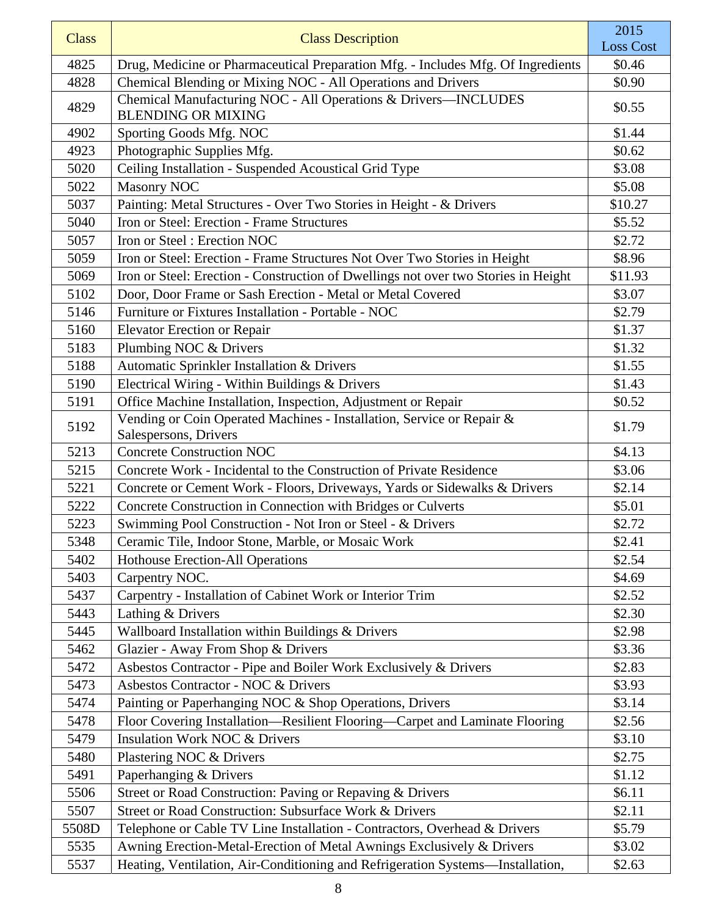| <b>Class</b> | <b>Class Description</b>                                                                       | 2015<br><b>Loss Cost</b> |
|--------------|------------------------------------------------------------------------------------------------|--------------------------|
| 4825         | Drug, Medicine or Pharmaceutical Preparation Mfg. - Includes Mfg. Of Ingredients               | \$0.46                   |
| 4828         | Chemical Blending or Mixing NOC - All Operations and Drivers                                   | \$0.90                   |
| 4829         | Chemical Manufacturing NOC - All Operations & Drivers-INCLUDES<br><b>BLENDING OR MIXING</b>    | \$0.55                   |
| 4902         | Sporting Goods Mfg. NOC                                                                        | \$1.44                   |
| 4923         | Photographic Supplies Mfg.                                                                     | \$0.62                   |
| 5020         | Ceiling Installation - Suspended Acoustical Grid Type                                          | \$3.08                   |
| 5022         | <b>Masonry NOC</b>                                                                             | \$5.08                   |
| 5037         | Painting: Metal Structures - Over Two Stories in Height - & Drivers                            | \$10.27                  |
| 5040         | Iron or Steel: Erection - Frame Structures                                                     | \$5.52                   |
| 5057         | Iron or Steel: Erection NOC                                                                    | \$2.72                   |
| 5059         | Iron or Steel: Erection - Frame Structures Not Over Two Stories in Height                      | \$8.96                   |
| 5069         | Iron or Steel: Erection - Construction of Dwellings not over two Stories in Height             | \$11.93                  |
| 5102         | Door, Door Frame or Sash Erection - Metal or Metal Covered                                     | \$3.07                   |
| 5146         | Furniture or Fixtures Installation - Portable - NOC                                            | \$2.79                   |
| 5160         | <b>Elevator Erection or Repair</b>                                                             | \$1.37                   |
| 5183         | Plumbing NOC & Drivers                                                                         | \$1.32                   |
| 5188         | Automatic Sprinkler Installation & Drivers                                                     | \$1.55                   |
| 5190         | Electrical Wiring - Within Buildings & Drivers                                                 | \$1.43                   |
| 5191         | Office Machine Installation, Inspection, Adjustment or Repair                                  | \$0.52                   |
| 5192         | Vending or Coin Operated Machines - Installation, Service or Repair &<br>Salespersons, Drivers | \$1.79                   |
| 5213         | <b>Concrete Construction NOC</b>                                                               | \$4.13                   |
| 5215         | Concrete Work - Incidental to the Construction of Private Residence                            | \$3.06                   |
| 5221         | Concrete or Cement Work - Floors, Driveways, Yards or Sidewalks & Drivers                      | \$2.14                   |
| 5222         | Concrete Construction in Connection with Bridges or Culverts                                   | \$5.01                   |
| 5223         | Swimming Pool Construction - Not Iron or Steel - & Drivers                                     | \$2.72                   |
| 5348         | Ceramic Tile, Indoor Stone, Marble, or Mosaic Work                                             | \$2.41                   |
| 5402         | Hothouse Erection-All Operations                                                               | \$2.54                   |
| 5403         | Carpentry NOC.                                                                                 | \$4.69                   |
| 5437         | Carpentry - Installation of Cabinet Work or Interior Trim                                      | \$2.52                   |
| 5443         | Lathing & Drivers                                                                              | \$2.30                   |
| 5445         | Wallboard Installation within Buildings & Drivers                                              | \$2.98                   |
| 5462         | Glazier - Away From Shop & Drivers                                                             | \$3.36                   |
| 5472         | Asbestos Contractor - Pipe and Boiler Work Exclusively & Drivers                               | \$2.83                   |
| 5473         | Asbestos Contractor - NOC & Drivers                                                            | \$3.93                   |
| 5474         | Painting or Paperhanging NOC & Shop Operations, Drivers                                        | \$3.14                   |
| 5478         | Floor Covering Installation—Resilient Flooring—Carpet and Laminate Flooring                    | \$2.56                   |
| 5479         | <b>Insulation Work NOC &amp; Drivers</b>                                                       | \$3.10                   |
| 5480         | Plastering NOC & Drivers                                                                       | \$2.75                   |
| 5491         | Paperhanging & Drivers                                                                         | \$1.12                   |
| 5506         | Street or Road Construction: Paving or Repaving & Drivers                                      | \$6.11                   |
| 5507         | Street or Road Construction: Subsurface Work & Drivers                                         | \$2.11                   |
| 5508D        | Telephone or Cable TV Line Installation - Contractors, Overhead & Drivers                      | \$5.79                   |
| 5535         | Awning Erection-Metal-Erection of Metal Awnings Exclusively & Drivers                          | \$3.02                   |
| 5537         | Heating, Ventilation, Air-Conditioning and Refrigeration Systems-Installation,                 | \$2.63                   |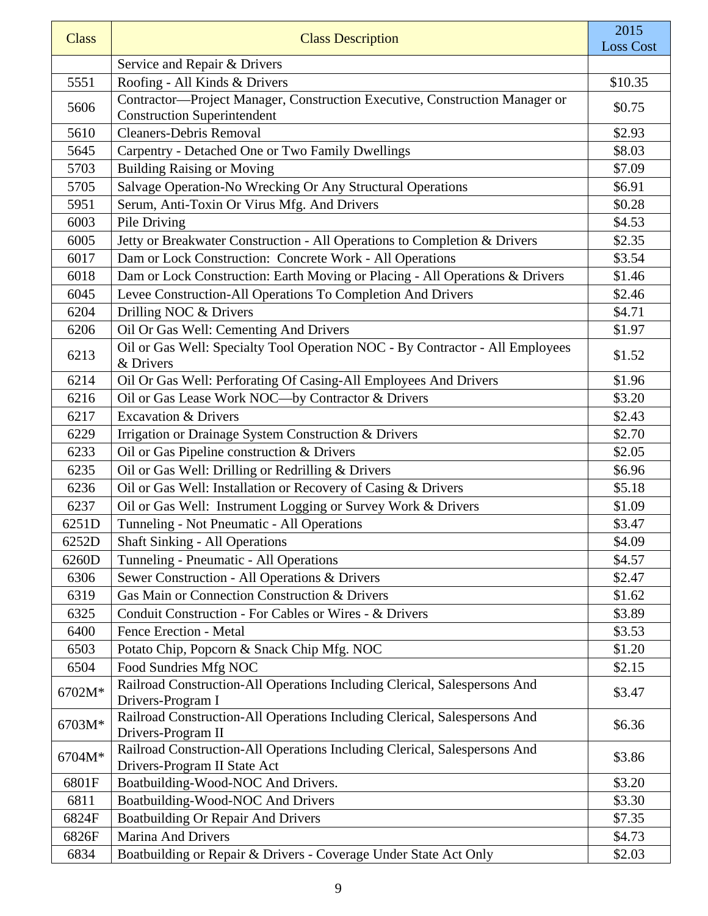| <b>Class</b> | <b>Class Description</b>                                                                                          | 2015<br><b>Loss Cost</b> |
|--------------|-------------------------------------------------------------------------------------------------------------------|--------------------------|
|              | Service and Repair & Drivers                                                                                      |                          |
| 5551         | Roofing - All Kinds & Drivers                                                                                     | \$10.35                  |
| 5606         | Contractor-Project Manager, Construction Executive, Construction Manager or<br><b>Construction Superintendent</b> | \$0.75                   |
| 5610         | <b>Cleaners-Debris Removal</b>                                                                                    | \$2.93                   |
| 5645         | Carpentry - Detached One or Two Family Dwellings                                                                  | \$8.03                   |
| 5703         | <b>Building Raising or Moving</b>                                                                                 | \$7.09                   |
| 5705         | Salvage Operation-No Wrecking Or Any Structural Operations                                                        | \$6.91                   |
| 5951         | Serum, Anti-Toxin Or Virus Mfg. And Drivers                                                                       | \$0.28                   |
| 6003         | Pile Driving                                                                                                      | \$4.53                   |
| 6005         | Jetty or Breakwater Construction - All Operations to Completion & Drivers                                         | \$2.35                   |
| 6017         | Dam or Lock Construction: Concrete Work - All Operations                                                          | \$3.54                   |
| 6018         | Dam or Lock Construction: Earth Moving or Placing - All Operations & Drivers                                      | \$1.46                   |
| 6045         | Levee Construction-All Operations To Completion And Drivers                                                       | \$2.46                   |
| 6204         | Drilling NOC & Drivers                                                                                            | \$4.71                   |
| 6206         | Oil Or Gas Well: Cementing And Drivers                                                                            | \$1.97                   |
| 6213         | Oil or Gas Well: Specialty Tool Operation NOC - By Contractor - All Employees<br>& Drivers                        | \$1.52                   |
| 6214         | Oil Or Gas Well: Perforating Of Casing-All Employees And Drivers                                                  | \$1.96                   |
| 6216         | Oil or Gas Lease Work NOC-by Contractor & Drivers                                                                 | \$3.20                   |
| 6217         | <b>Excavation &amp; Drivers</b>                                                                                   | \$2.43                   |
| 6229         | Irrigation or Drainage System Construction & Drivers                                                              | \$2.70                   |
| 6233         | Oil or Gas Pipeline construction & Drivers                                                                        | \$2.05                   |
| 6235         | Oil or Gas Well: Drilling or Redrilling & Drivers                                                                 | \$6.96                   |
| 6236         | Oil or Gas Well: Installation or Recovery of Casing & Drivers                                                     | \$5.18                   |
| 6237         | Oil or Gas Well: Instrument Logging or Survey Work & Drivers                                                      | \$1.09                   |
| 6251D        | Tunneling - Not Pneumatic - All Operations                                                                        | \$3.47                   |
| 6252D        | <b>Shaft Sinking - All Operations</b>                                                                             | \$4.09                   |
| 6260D        | Tunneling - Pneumatic - All Operations                                                                            | \$4.57                   |
| 6306         | Sewer Construction - All Operations & Drivers                                                                     | \$2.47                   |
| 6319         | Gas Main or Connection Construction & Drivers                                                                     | \$1.62                   |
| 6325         | Conduit Construction - For Cables or Wires - & Drivers                                                            | \$3.89                   |
| 6400         | Fence Erection - Metal                                                                                            | \$3.53                   |
| 6503         | Potato Chip, Popcorn & Snack Chip Mfg. NOC                                                                        | \$1.20                   |
| 6504         | Food Sundries Mfg NOC                                                                                             | \$2.15                   |
| 6702M*       | Railroad Construction-All Operations Including Clerical, Salespersons And<br>Drivers-Program I                    | \$3.47                   |
| 6703M*       | Railroad Construction-All Operations Including Clerical, Salespersons And<br>Drivers-Program II                   | \$6.36                   |
| 6704M*       | Railroad Construction-All Operations Including Clerical, Salespersons And<br>Drivers-Program II State Act         | \$3.86                   |
| 6801F        | Boatbuilding-Wood-NOC And Drivers.                                                                                | \$3.20                   |
| 6811         | Boatbuilding-Wood-NOC And Drivers                                                                                 | \$3.30                   |
| 6824F        | <b>Boatbuilding Or Repair And Drivers</b>                                                                         | \$7.35                   |
| 6826F        | Marina And Drivers                                                                                                | \$4.73                   |
| 6834         | Boatbuilding or Repair & Drivers - Coverage Under State Act Only                                                  | \$2.03                   |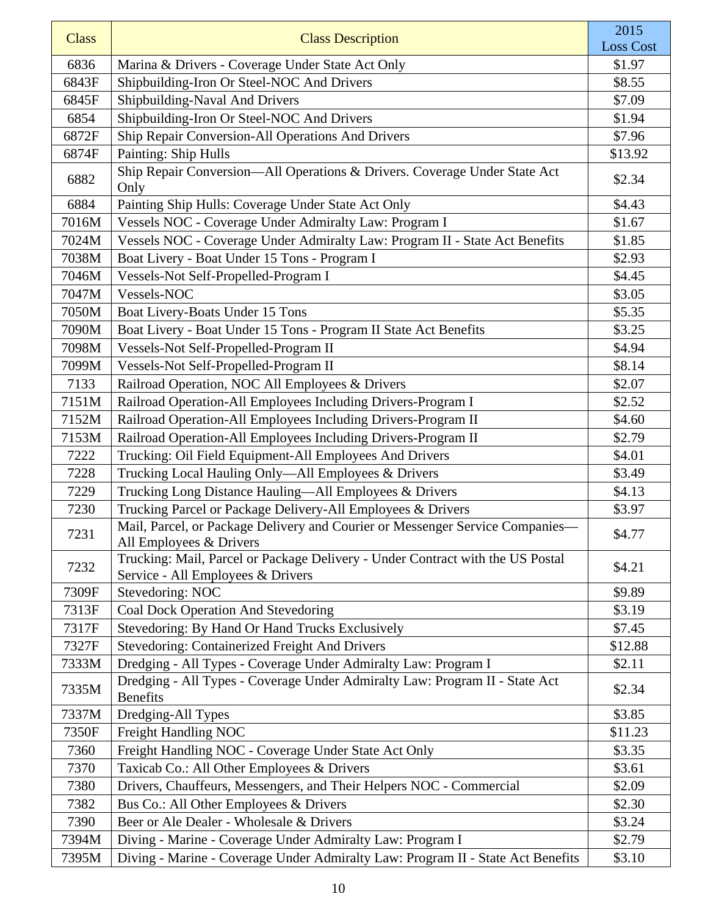| <b>Class</b> | <b>Class Description</b>                                                                                            | 2015             |
|--------------|---------------------------------------------------------------------------------------------------------------------|------------------|
|              |                                                                                                                     | <b>Loss Cost</b> |
| 6836         | Marina & Drivers - Coverage Under State Act Only                                                                    | \$1.97           |
| 6843F        | Shipbuilding-Iron Or Steel-NOC And Drivers                                                                          | \$8.55           |
| 6845F        | Shipbuilding-Naval And Drivers                                                                                      | \$7.09           |
| 6854         | Shipbuilding-Iron Or Steel-NOC And Drivers                                                                          | \$1.94           |
| 6872F        | Ship Repair Conversion-All Operations And Drivers                                                                   | \$7.96           |
| 6874F        | Painting: Ship Hulls                                                                                                | \$13.92          |
| 6882         | Ship Repair Conversion-All Operations & Drivers. Coverage Under State Act<br>Only                                   | \$2.34           |
| 6884         | Painting Ship Hulls: Coverage Under State Act Only                                                                  | \$4.43           |
| 7016M        | Vessels NOC - Coverage Under Admiralty Law: Program I                                                               | \$1.67           |
| 7024M        | Vessels NOC - Coverage Under Admiralty Law: Program II - State Act Benefits                                         | \$1.85           |
| 7038M        | Boat Livery - Boat Under 15 Tons - Program I                                                                        | \$2.93           |
| 7046M        | Vessels-Not Self-Propelled-Program I                                                                                | \$4.45           |
| 7047M        | Vessels-NOC                                                                                                         | \$3.05           |
| 7050M        | Boat Livery-Boats Under 15 Tons                                                                                     | \$5.35           |
| 7090M        | Boat Livery - Boat Under 15 Tons - Program II State Act Benefits                                                    | \$3.25           |
| 7098M        | Vessels-Not Self-Propelled-Program II                                                                               | \$4.94           |
| 7099M        | Vessels-Not Self-Propelled-Program II                                                                               | \$8.14           |
| 7133         | Railroad Operation, NOC All Employees & Drivers                                                                     | \$2.07           |
| 7151M        | Railroad Operation-All Employees Including Drivers-Program I                                                        | \$2.52           |
| 7152M        | Railroad Operation-All Employees Including Drivers-Program II                                                       | \$4.60           |
| 7153M        | Railroad Operation-All Employees Including Drivers-Program II                                                       | \$2.79           |
| 7222         | Trucking: Oil Field Equipment-All Employees And Drivers                                                             | \$4.01           |
| 7228         | Trucking Local Hauling Only-All Employees & Drivers                                                                 | \$3.49           |
| 7229         | Trucking Long Distance Hauling-All Employees & Drivers                                                              | \$4.13           |
| 7230         | Trucking Parcel or Package Delivery-All Employees & Drivers                                                         | \$3.97           |
| 7231         | Mail, Parcel, or Package Delivery and Courier or Messenger Service Companies-<br>All Employees & Drivers            | \$4.77           |
| 7232         | Trucking: Mail, Parcel or Package Delivery - Under Contract with the US Postal<br>Service - All Employees & Drivers | \$4.21           |
| 7309F        | Stevedoring: NOC                                                                                                    | \$9.89           |
| 7313F        | Coal Dock Operation And Stevedoring                                                                                 | \$3.19           |
| 7317F        | Stevedoring: By Hand Or Hand Trucks Exclusively                                                                     | \$7.45           |
| 7327F        | <b>Stevedoring: Containerized Freight And Drivers</b>                                                               | \$12.88          |
| 7333M        | Dredging - All Types - Coverage Under Admiralty Law: Program I                                                      | \$2.11           |
| 7335M        | Dredging - All Types - Coverage Under Admiralty Law: Program II - State Act<br><b>Benefits</b>                      | \$2.34           |
| 7337M        | Dredging-All Types                                                                                                  | \$3.85           |
| 7350F        | Freight Handling NOC                                                                                                | \$11.23          |
| 7360         | Freight Handling NOC - Coverage Under State Act Only                                                                | \$3.35           |
| 7370         | Taxicab Co.: All Other Employees & Drivers                                                                          | \$3.61           |
| 7380         | Drivers, Chauffeurs, Messengers, and Their Helpers NOC - Commercial                                                 | \$2.09           |
| 7382         | Bus Co.: All Other Employees & Drivers                                                                              | \$2.30           |
| 7390         | Beer or Ale Dealer - Wholesale & Drivers                                                                            | \$3.24           |
| 7394M        | Diving - Marine - Coverage Under Admiralty Law: Program I                                                           | \$2.79           |
| 7395M        | Diving - Marine - Coverage Under Admiralty Law: Program II - State Act Benefits                                     | \$3.10           |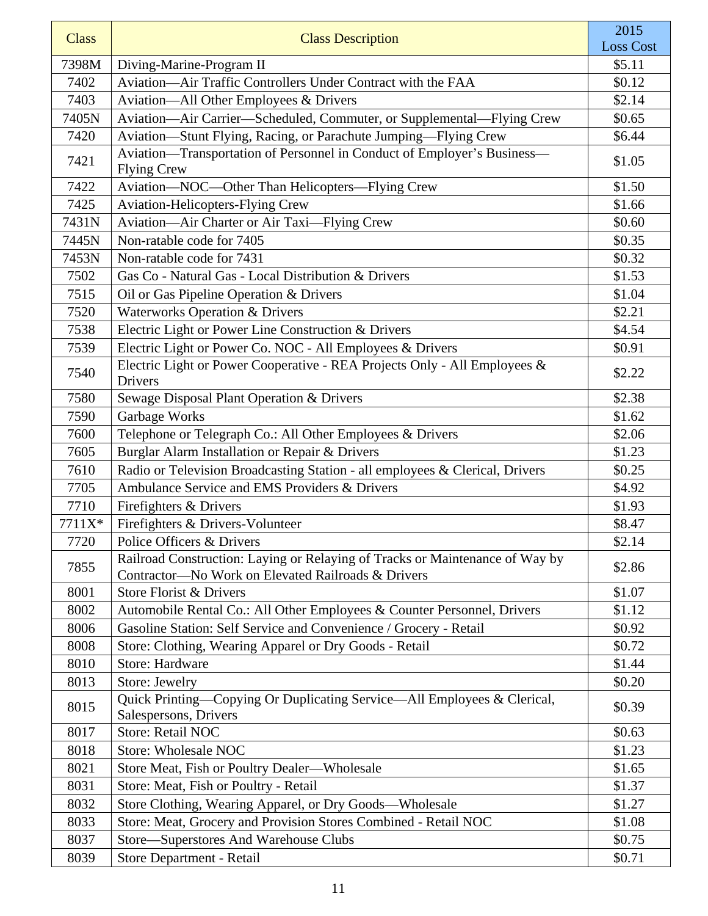| <b>Class</b> | <b>Class Description</b>                                                                                                           | 2015<br><b>Loss Cost</b> |
|--------------|------------------------------------------------------------------------------------------------------------------------------------|--------------------------|
| 7398M        | Diving-Marine-Program II                                                                                                           | \$5.11                   |
| 7402         | Aviation—Air Traffic Controllers Under Contract with the FAA                                                                       | \$0.12                   |
| 7403         | Aviation-All Other Employees & Drivers                                                                                             | \$2.14                   |
| 7405N        | Aviation—Air Carrier—Scheduled, Commuter, or Supplemental—Flying Crew                                                              | \$0.65                   |
| 7420         | Aviation-Stunt Flying, Racing, or Parachute Jumping-Flying Crew                                                                    | \$6.44                   |
| 7421         | Aviation-Transportation of Personnel in Conduct of Employer's Business-<br><b>Flying Crew</b>                                      | \$1.05                   |
| 7422         | Aviation-NOC-Other Than Helicopters-Flying Crew                                                                                    | \$1.50                   |
| 7425         | Aviation-Helicopters-Flying Crew                                                                                                   | \$1.66                   |
| 7431N        | Aviation-Air Charter or Air Taxi-Flying Crew                                                                                       | \$0.60                   |
| 7445N        | Non-ratable code for 7405                                                                                                          | \$0.35                   |
| 7453N        | Non-ratable code for 7431                                                                                                          | \$0.32                   |
| 7502         | Gas Co - Natural Gas - Local Distribution & Drivers                                                                                | \$1.53                   |
| 7515         | Oil or Gas Pipeline Operation & Drivers                                                                                            | \$1.04                   |
| 7520         | <b>Waterworks Operation &amp; Drivers</b>                                                                                          | \$2.21                   |
| 7538         | Electric Light or Power Line Construction & Drivers                                                                                | \$4.54                   |
| 7539         | Electric Light or Power Co. NOC - All Employees & Drivers                                                                          | \$0.91                   |
| 7540         | Electric Light or Power Cooperative - REA Projects Only - All Employees &<br><b>Drivers</b>                                        | \$2.22                   |
| 7580         | Sewage Disposal Plant Operation & Drivers                                                                                          | \$2.38                   |
| 7590         | Garbage Works                                                                                                                      | \$1.62                   |
| 7600         | Telephone or Telegraph Co.: All Other Employees & Drivers                                                                          | \$2.06                   |
| 7605         | Burglar Alarm Installation or Repair & Drivers                                                                                     | \$1.23                   |
| 7610         | Radio or Television Broadcasting Station - all employees & Clerical, Drivers                                                       | \$0.25                   |
| 7705         | Ambulance Service and EMS Providers & Drivers                                                                                      | \$4.92                   |
| 7710         | Firefighters & Drivers                                                                                                             | \$1.93                   |
| 7711X*       | Firefighters & Drivers-Volunteer                                                                                                   | \$8.47                   |
| 7720         | Police Officers & Drivers                                                                                                          | \$2.14                   |
| 7855         | Railroad Construction: Laying or Relaying of Tracks or Maintenance of Way by<br>Contractor-No Work on Elevated Railroads & Drivers | \$2.86                   |
| 8001         | Store Florist & Drivers                                                                                                            | \$1.07                   |
| 8002         | Automobile Rental Co.: All Other Employees & Counter Personnel, Drivers                                                            | \$1.12                   |
| 8006         | Gasoline Station: Self Service and Convenience / Grocery - Retail                                                                  | \$0.92                   |
| 8008         | Store: Clothing, Wearing Apparel or Dry Goods - Retail                                                                             | \$0.72                   |
| 8010         | <b>Store: Hardware</b>                                                                                                             | \$1.44                   |
| 8013         | Store: Jewelry                                                                                                                     | \$0.20                   |
| 8015         | Quick Printing—Copying Or Duplicating Service—All Employees & Clerical,<br>Salespersons, Drivers                                   | \$0.39                   |
| 8017         | <b>Store: Retail NOC</b>                                                                                                           | \$0.63                   |
| 8018         | <b>Store: Wholesale NOC</b>                                                                                                        | \$1.23                   |
| 8021         | Store Meat, Fish or Poultry Dealer—Wholesale                                                                                       | \$1.65                   |
| 8031         | Store: Meat, Fish or Poultry - Retail                                                                                              | \$1.37                   |
| 8032         | Store Clothing, Wearing Apparel, or Dry Goods-Wholesale                                                                            | \$1.27                   |
| 8033         | Store: Meat, Grocery and Provision Stores Combined - Retail NOC                                                                    | \$1.08                   |
| 8037         | Store-Superstores And Warehouse Clubs                                                                                              | \$0.75                   |
| 8039         | Store Department - Retail                                                                                                          | \$0.71                   |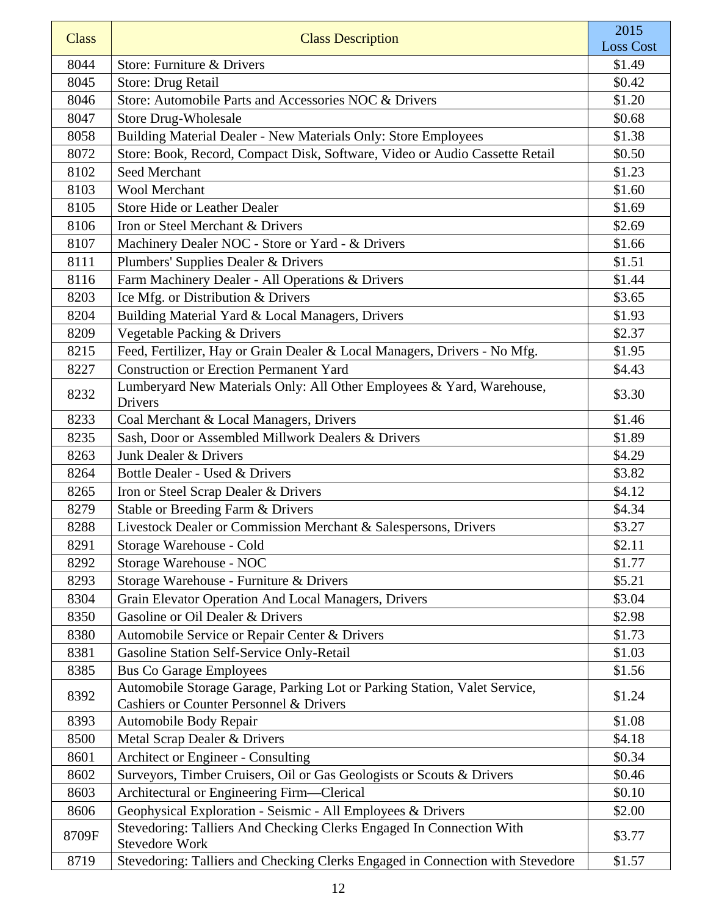| <b>Class</b> | <b>Class Description</b>                                                                                                        | 2015<br><b>Loss Cost</b> |
|--------------|---------------------------------------------------------------------------------------------------------------------------------|--------------------------|
| 8044         | Store: Furniture & Drivers                                                                                                      | \$1.49                   |
| 8045         | Store: Drug Retail                                                                                                              | \$0.42                   |
| 8046         | Store: Automobile Parts and Accessories NOC & Drivers                                                                           | \$1.20                   |
| 8047         | <b>Store Drug-Wholesale</b>                                                                                                     | \$0.68                   |
| 8058         | Building Material Dealer - New Materials Only: Store Employees                                                                  | \$1.38                   |
| 8072         | Store: Book, Record, Compact Disk, Software, Video or Audio Cassette Retail                                                     | \$0.50                   |
| 8102         | Seed Merchant                                                                                                                   | \$1.23                   |
| 8103         | <b>Wool Merchant</b>                                                                                                            | \$1.60                   |
| 8105         | <b>Store Hide or Leather Dealer</b>                                                                                             | \$1.69                   |
| 8106         | Iron or Steel Merchant & Drivers                                                                                                | \$2.69                   |
| 8107         | Machinery Dealer NOC - Store or Yard - & Drivers                                                                                | \$1.66                   |
| 8111         | Plumbers' Supplies Dealer & Drivers                                                                                             | \$1.51                   |
| 8116         | Farm Machinery Dealer - All Operations & Drivers                                                                                | \$1.44                   |
| 8203         | Ice Mfg. or Distribution & Drivers                                                                                              | \$3.65                   |
| 8204         | Building Material Yard & Local Managers, Drivers                                                                                | \$1.93                   |
| 8209         | Vegetable Packing & Drivers                                                                                                     | \$2.37                   |
| 8215         | Feed, Fertilizer, Hay or Grain Dealer & Local Managers, Drivers - No Mfg.                                                       | \$1.95                   |
| 8227         | <b>Construction or Erection Permanent Yard</b>                                                                                  | \$4.43                   |
| 8232         | Lumberyard New Materials Only: All Other Employees & Yard, Warehouse,<br><b>Drivers</b>                                         | \$3.30                   |
| 8233         | Coal Merchant & Local Managers, Drivers                                                                                         | \$1.46                   |
| 8235         | Sash, Door or Assembled Millwork Dealers & Drivers                                                                              | \$1.89                   |
| 8263         | Junk Dealer & Drivers                                                                                                           | \$4.29                   |
| 8264         | Bottle Dealer - Used & Drivers                                                                                                  | \$3.82                   |
| 8265         | Iron or Steel Scrap Dealer & Drivers                                                                                            | \$4.12                   |
| 8279         | Stable or Breeding Farm & Drivers                                                                                               | \$4.34                   |
| 8288         | Livestock Dealer or Commission Merchant & Salespersons, Drivers                                                                 | \$3.27                   |
| 8291         | Storage Warehouse - Cold                                                                                                        | \$2.11                   |
| 8292         | Storage Warehouse - NOC                                                                                                         | \$1.77                   |
| 8293         | Storage Warehouse - Furniture & Drivers                                                                                         | \$5.21                   |
| 8304         | Grain Elevator Operation And Local Managers, Drivers                                                                            | \$3.04                   |
| 8350         | Gasoline or Oil Dealer & Drivers                                                                                                | \$2.98                   |
| 8380         | Automobile Service or Repair Center & Drivers                                                                                   | \$1.73                   |
| 8381         | Gasoline Station Self-Service Only-Retail                                                                                       | \$1.03                   |
| 8385         | <b>Bus Co Garage Employees</b>                                                                                                  | \$1.56                   |
| 8392         | Automobile Storage Garage, Parking Lot or Parking Station, Valet Service,<br><b>Cashiers or Counter Personnel &amp; Drivers</b> | \$1.24                   |
| 8393         | Automobile Body Repair                                                                                                          | \$1.08                   |
| 8500         | Metal Scrap Dealer & Drivers                                                                                                    | \$4.18                   |
| 8601         | Architect or Engineer - Consulting                                                                                              | \$0.34                   |
| 8602         | Surveyors, Timber Cruisers, Oil or Gas Geologists or Scouts & Drivers                                                           | \$0.46                   |
| 8603         | Architectural or Engineering Firm-Clerical                                                                                      | \$0.10                   |
| 8606         | Geophysical Exploration - Seismic - All Employees & Drivers                                                                     | \$2.00                   |
| 8709F        | Stevedoring: Talliers And Checking Clerks Engaged In Connection With<br><b>Stevedore Work</b>                                   | \$3.77                   |
| 8719         | Stevedoring: Talliers and Checking Clerks Engaged in Connection with Stevedore                                                  | \$1.57                   |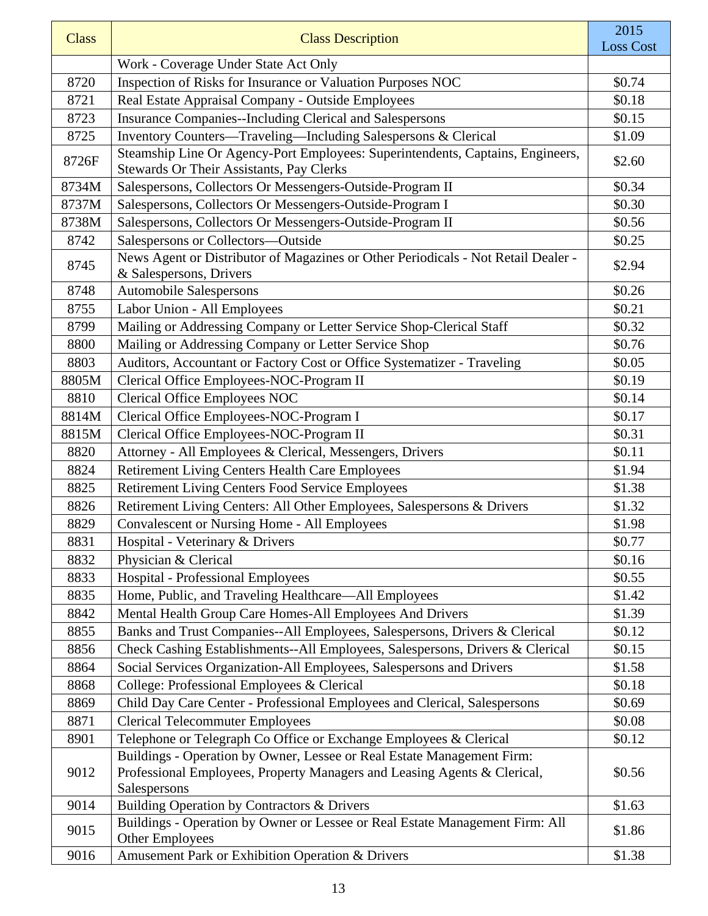| <b>Class</b> | <b>Class Description</b>                                                                                     | 2015<br><b>Loss Cost</b> |
|--------------|--------------------------------------------------------------------------------------------------------------|--------------------------|
|              | Work - Coverage Under State Act Only                                                                         |                          |
| 8720         | Inspection of Risks for Insurance or Valuation Purposes NOC                                                  | \$0.74                   |
| 8721         | Real Estate Appraisal Company - Outside Employees                                                            | \$0.18                   |
| 8723         | <b>Insurance Companies--Including Clerical and Salespersons</b>                                              | \$0.15                   |
| 8725         | Inventory Counters—Traveling—Including Salespersons & Clerical                                               | \$1.09                   |
| 8726F        | Steamship Line Or Agency-Port Employees: Superintendents, Captains, Engineers,                               | \$2.60                   |
|              | Stewards Or Their Assistants, Pay Clerks                                                                     |                          |
| 8734M        | Salespersons, Collectors Or Messengers-Outside-Program II                                                    | \$0.34                   |
| 8737M        | Salespersons, Collectors Or Messengers-Outside-Program I                                                     | \$0.30                   |
| 8738M        | Salespersons, Collectors Or Messengers-Outside-Program II                                                    | \$0.56                   |
| 8742         | Salespersons or Collectors-Outside                                                                           | \$0.25                   |
| 8745         | News Agent or Distributor of Magazines or Other Periodicals - Not Retail Dealer -<br>& Salespersons, Drivers | \$2.94                   |
| 8748         | <b>Automobile Salespersons</b>                                                                               | \$0.26                   |
| 8755         | Labor Union - All Employees                                                                                  | \$0.21                   |
| 8799         | Mailing or Addressing Company or Letter Service Shop-Clerical Staff                                          | \$0.32                   |
| 8800         | Mailing or Addressing Company or Letter Service Shop                                                         | \$0.76                   |
| 8803         | Auditors, Accountant or Factory Cost or Office Systematizer - Traveling                                      | \$0.05                   |
| 8805M        | Clerical Office Employees-NOC-Program II                                                                     | \$0.19                   |
| 8810         | Clerical Office Employees NOC                                                                                | \$0.14                   |
| 8814M        | Clerical Office Employees-NOC-Program I                                                                      | \$0.17                   |
| 8815M        | Clerical Office Employees-NOC-Program II                                                                     | \$0.31                   |
| 8820         | Attorney - All Employees & Clerical, Messengers, Drivers                                                     | \$0.11                   |
| 8824         | <b>Retirement Living Centers Health Care Employees</b>                                                       | \$1.94                   |
| 8825         | Retirement Living Centers Food Service Employees                                                             | \$1.38                   |
| 8826         | Retirement Living Centers: All Other Employees, Salespersons & Drivers                                       | \$1.32                   |
| 8829         | <b>Convalescent or Nursing Home - All Employees</b>                                                          | \$1.98                   |
| 8831         | Hospital - Veterinary & Drivers                                                                              | \$0.77                   |
| 8832         | Physician & Clerical                                                                                         | \$0.16                   |
| 8833         | Hospital - Professional Employees                                                                            | \$0.55                   |
| 8835         | Home, Public, and Traveling Healthcare—All Employees                                                         | \$1.42                   |
| 8842         | Mental Health Group Care Homes-All Employees And Drivers                                                     | \$1.39                   |
| 8855         | Banks and Trust Companies--All Employees, Salespersons, Drivers & Clerical                                   | \$0.12                   |
| 8856         | Check Cashing Establishments--All Employees, Salespersons, Drivers & Clerical                                | \$0.15                   |
| 8864         | Social Services Organization-All Employees, Salespersons and Drivers                                         | \$1.58                   |
| 8868         | College: Professional Employees & Clerical                                                                   | \$0.18                   |
| 8869         | Child Day Care Center - Professional Employees and Clerical, Salespersons                                    | \$0.69                   |
| 8871         | <b>Clerical Telecommuter Employees</b>                                                                       | \$0.08                   |
| 8901         | Telephone or Telegraph Co Office or Exchange Employees & Clerical                                            | \$0.12                   |
|              | Buildings - Operation by Owner, Lessee or Real Estate Management Firm:                                       |                          |
| 9012         | Professional Employees, Property Managers and Leasing Agents & Clerical,                                     | \$0.56                   |
|              | Salespersons                                                                                                 |                          |
| 9014         | Building Operation by Contractors & Drivers                                                                  | \$1.63                   |
| 9015         | Buildings - Operation by Owner or Lessee or Real Estate Management Firm: All<br><b>Other Employees</b>       | \$1.86                   |
| 9016         | Amusement Park or Exhibition Operation & Drivers                                                             | \$1.38                   |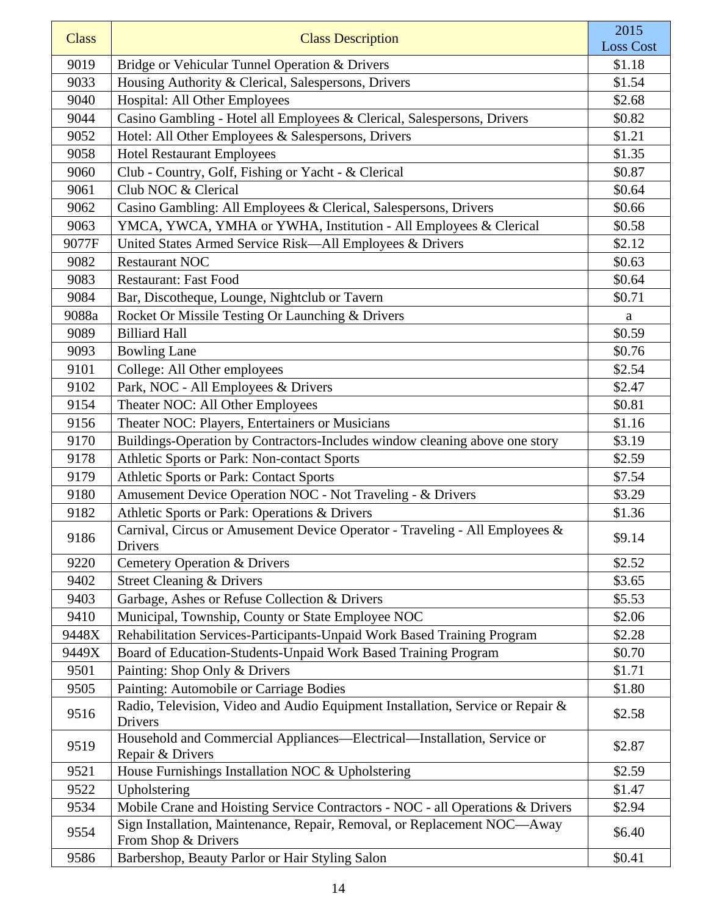| <b>Class</b> | <b>Class Description</b>                                                                              | 2015<br><b>Loss Cost</b> |
|--------------|-------------------------------------------------------------------------------------------------------|--------------------------|
| 9019         |                                                                                                       | \$1.18                   |
| 9033         | Bridge or Vehicular Tunnel Operation & Drivers<br>Housing Authority & Clerical, Salespersons, Drivers | \$1.54                   |
| 9040         | Hospital: All Other Employees                                                                         | \$2.68                   |
| 9044         | Casino Gambling - Hotel all Employees & Clerical, Salespersons, Drivers                               | \$0.82                   |
| 9052         |                                                                                                       | \$1.21                   |
|              | Hotel: All Other Employees & Salespersons, Drivers                                                    | \$1.35                   |
| 9058         | <b>Hotel Restaurant Employees</b>                                                                     |                          |
| 9060         | Club - Country, Golf, Fishing or Yacht - & Clerical<br>Club NOC & Clerical                            | \$0.87                   |
| 9061         |                                                                                                       | \$0.64                   |
| 9062         | Casino Gambling: All Employees & Clerical, Salespersons, Drivers                                      | \$0.66                   |
| 9063         | YMCA, YWCA, YMHA or YWHA, Institution - All Employees & Clerical                                      | \$0.58                   |
| 9077F        | United States Armed Service Risk-All Employees & Drivers                                              | \$2.12                   |
| 9082         | <b>Restaurant NOC</b>                                                                                 | \$0.63                   |
| 9083         | <b>Restaurant: Fast Food</b>                                                                          | \$0.64                   |
| 9084         | Bar, Discotheque, Lounge, Nightclub or Tavern                                                         | \$0.71                   |
| 9088a        | Rocket Or Missile Testing Or Launching & Drivers                                                      | $\mathbf{a}$             |
| 9089         | <b>Billiard Hall</b>                                                                                  | \$0.59                   |
| 9093         | <b>Bowling Lane</b>                                                                                   | \$0.76                   |
| 9101         | College: All Other employees                                                                          | \$2.54                   |
| 9102         | Park, NOC - All Employees & Drivers                                                                   | \$2.47                   |
| 9154         | Theater NOC: All Other Employees                                                                      | \$0.81                   |
| 9156         | Theater NOC: Players, Entertainers or Musicians                                                       | \$1.16                   |
| 9170         | Buildings-Operation by Contractors-Includes window cleaning above one story                           | \$3.19                   |
| 9178         | Athletic Sports or Park: Non-contact Sports                                                           | \$2.59                   |
| 9179         | Athletic Sports or Park: Contact Sports                                                               | \$7.54                   |
| 9180         | Amusement Device Operation NOC - Not Traveling - & Drivers                                            | \$3.29                   |
| 9182         | Athletic Sports or Park: Operations & Drivers                                                         | \$1.36                   |
| 9186         | Carnival, Circus or Amusement Device Operator - Traveling - All Employees &<br>Drivers                | \$9.14                   |
| 9220         | Cemetery Operation & Drivers                                                                          | \$2.52                   |
| 9402         | <b>Street Cleaning &amp; Drivers</b>                                                                  | \$3.65                   |
| 9403         | Garbage, Ashes or Refuse Collection & Drivers                                                         | \$5.53                   |
| 9410         | Municipal, Township, County or State Employee NOC                                                     | \$2.06                   |
| 9448X        | Rehabilitation Services-Participants-Unpaid Work Based Training Program                               | \$2.28                   |
| 9449X        | Board of Education-Students-Unpaid Work Based Training Program                                        | \$0.70                   |
| 9501         | Painting: Shop Only & Drivers                                                                         | \$1.71                   |
| 9505         | Painting: Automobile or Carriage Bodies                                                               | \$1.80                   |
| 9516         | Radio, Television, Video and Audio Equipment Installation, Service or Repair &<br>Drivers             | \$2.58                   |
| 9519         | Household and Commercial Appliances—Electrical—Installation, Service or<br>Repair & Drivers           | \$2.87                   |
| 9521         | House Furnishings Installation NOC & Upholstering                                                     | \$2.59                   |
| 9522         | Upholstering                                                                                          | \$1.47                   |
| 9534         | Mobile Crane and Hoisting Service Contractors - NOC - all Operations & Drivers                        | \$2.94                   |
| 9554         | Sign Installation, Maintenance, Repair, Removal, or Replacement NOC-Away<br>From Shop & Drivers       | \$6.40                   |
| 9586         | Barbershop, Beauty Parlor or Hair Styling Salon                                                       | \$0.41                   |